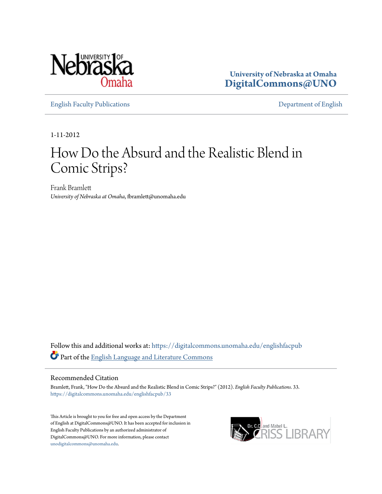

**University of Nebraska at Omaha [DigitalCommons@UNO](https://digitalcommons.unomaha.edu?utm_source=digitalcommons.unomaha.edu%2Fenglishfacpub%2F33&utm_medium=PDF&utm_campaign=PDFCoverPages)**

[English Faculty Publications](https://digitalcommons.unomaha.edu/englishfacpub?utm_source=digitalcommons.unomaha.edu%2Fenglishfacpub%2F33&utm_medium=PDF&utm_campaign=PDFCoverPages) [Department of English](https://digitalcommons.unomaha.edu/english?utm_source=digitalcommons.unomaha.edu%2Fenglishfacpub%2F33&utm_medium=PDF&utm_campaign=PDFCoverPages)

1-11-2012

## How Do the Absurd and the Realistic Blend in Comic Strips?

Frank Bramlett *University of Nebraska at Omaha*, fbramlett@unomaha.edu

Follow this and additional works at: [https://digitalcommons.unomaha.edu/englishfacpub](https://digitalcommons.unomaha.edu/englishfacpub?utm_source=digitalcommons.unomaha.edu%2Fenglishfacpub%2F33&utm_medium=PDF&utm_campaign=PDFCoverPages) Part of the [English Language and Literature Commons](http://network.bepress.com/hgg/discipline/455?utm_source=digitalcommons.unomaha.edu%2Fenglishfacpub%2F33&utm_medium=PDF&utm_campaign=PDFCoverPages)

## Recommended Citation

Bramlett, Frank, "How Do the Absurd and the Realistic Blend in Comic Strips?" (2012). *English Faculty Publications*. 33. [https://digitalcommons.unomaha.edu/englishfacpub/33](https://digitalcommons.unomaha.edu/englishfacpub/33?utm_source=digitalcommons.unomaha.edu%2Fenglishfacpub%2F33&utm_medium=PDF&utm_campaign=PDFCoverPages)

This Article is brought to you for free and open access by the Department of English at DigitalCommons@UNO. It has been accepted for inclusion in English Faculty Publications by an authorized administrator of DigitalCommons@UNO. For more information, please contact [unodigitalcommons@unomaha.edu](mailto:unodigitalcommons@unomaha.edu).

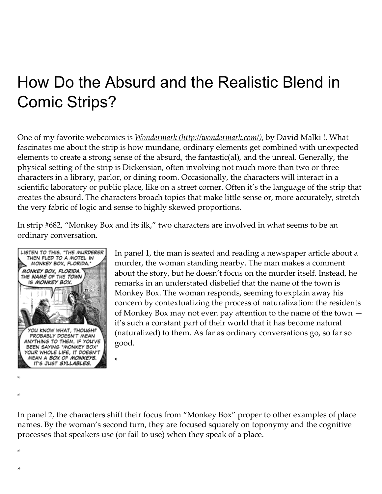## How Do the Absurd and the Realistic Blend in Comic Strips?

One of my favorite webcomics is *Wondermark [\(http://wondermark.com/\)](http://wondermark.com/)*, by David Malki !. What fascinates me about the strip is how mundane, ordinary elements get combined with unexpected elements to create a strong sense of the absurd, the fantastic(al), and the unreal. Generally, the physical setting of the strip is Dickensian, often involving not much more than two or three characters in a library, parlor, or dining room. Occasionally, the characters will interact in a scientific laboratory or public place, like on a street corner. Often it's the language of the strip that creates the absurd. The characters broach topics that make little sense or, more accurately, stretch the very fabric of logic and sense to highly skewed proportions.

In strip #682, "Monkey Box and its ilk," two characters are involved in what seems to be an ordinary conversation.



\*

In panel 1, the man is seated and reading a newspaper article about a murder, the woman standing nearby. The man makes a comment about the story, but he doesn't focus on the murder itself. Instead, he remarks in an understated disbelief that the name of the town is Monkey Box. The woman responds, seeming to explain away his concern by contextualizing the process of naturalization: the residents of Monkey Box may not even pay attention to the name of the town it's such a constant part of their world that it has become natural (naturalized) to them. As far as ordinary conversations go, so far so good.

In panel 2, the characters shift their focus from "Monkey Box" proper to other examples of place names. By the woman's second turn, they are focused squarely on toponymy and the cognitive processes that speakers use (or fail to use) when they speak of a place.

\*

\*

\*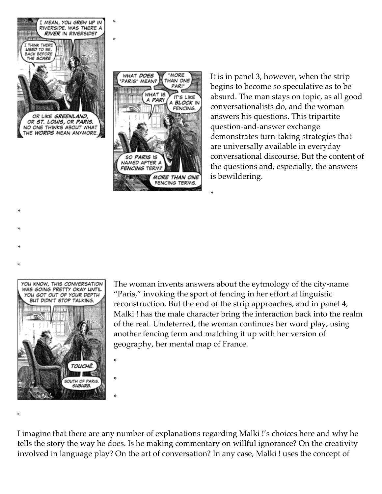

\*

\*

OR ST. LOUIS, OR PARIS.<br>NO ONE THINKS ABOUT WHAT HE WORDS MEAN ANYMORE.



It is in panel 3, however, when the strip begins to become so speculative as to be absurd. The man stays on topic, as all good conversationalists do, and the woman answers his questions. This tripartite question‑and‑answer exchange demonstrates turn-taking strategies that are universally available in everyday conversational discourse. But the content of the questions and, especially, the answers is bewildering.



\*

\*

\*

The woman invents answers about the eytmology of the city-name "Paris," invoking the sport of fencing in her effort at linguistic reconstruction. But the end of the strip approaches, and in panel 4, Malki ! has the male character bring the interaction back into the realm of the real. Undeterred, the woman continues her word play, using another fencing term and matching it up with her version of geography, her mental map of France.

\*

\*

\*

\*

\*

\*

I imagine that there are any number of explanations regarding Malki !'s choices here and why he tells the story the way he does. Is he making commentary on willful ignorance? On the creativity involved in language play? On the art of conversation? In any case, Malki ! uses the concept of